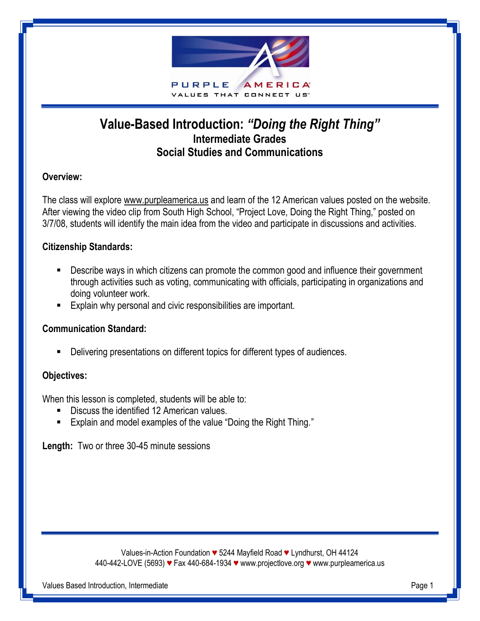

# **Value-Based Introduction:** *"Doing the Right Thing"* **Intermediate Grades Social Studies and Communications**

## **Overview:**

The class will explore www.purpleamerica.us and learn of the 12 American values posted on the website. After viewing the video clip from South High School, "Project Love, Doing the Right Thing," posted on 3/7/08, students will identify the main idea from the video and participate in discussions and activities.

#### **Citizenship Standards:**

- **Describe ways in which citizens can promote the common good and influence their government** through activities such as voting, communicating with officials, participating in organizations and doing volunteer work.
- **Explain why personal and civic responsibilities are important.**

#### **Communication Standard:**

Delivering presentations on different topics for different types of audiences.

#### **Objectives:**

When this lesson is completed, students will be able to:

- Discuss the identified 12 American values.
- Explain and model examples of the value "Doing the Right Thing."

**Length:** Two or three 30-45 minute sessions

Values-in-Action Foundation *♥* 5244 Mayfield Road *♥* Lyndhurst, OH 44124 440-442-LOVE (5693) *♥* Fax 440-684-1934 *♥* www.projectlove.org *♥* www.purpleamerica.us

Values Based Introduction, Intermediate **Page 1** and the Page 1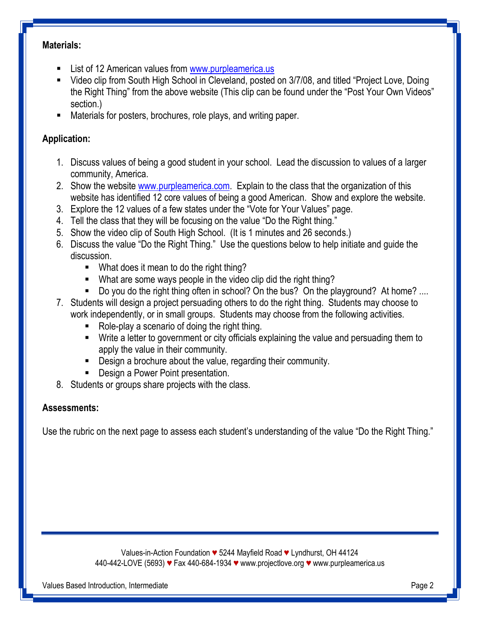#### **Materials:**

- **EXECT** List of 12 American values from [www.purpleamerica.us](http://www.purpleamerica.us/)
- Video clip from South High School in Cleveland, posted on 3/7/08, and titled "Project Love, Doing the Right Thing" from the above website (This clip can be found under the "Post Your Own Videos" section.)
- Materials for posters, brochures, role plays, and writing paper.

### **Application:**

- 1. Discuss values of being a good student in your school. Lead the discussion to values of a larger community, America.
- 2. Show the website [www.purpleamerica.com.](http://www.purpleamerica.com/) Explain to the class that the organization of this website has identified 12 core values of being a good American. Show and explore the website.
- 3. Explore the 12 values of a few states under the "Vote for Your Values" page.
- 4. Tell the class that they will be focusing on the value "Do the Right thing."
- 5. Show the video clip of South High School. (It is 1 minutes and 26 seconds.)
- 6. Discuss the value "Do the Right Thing." Use the questions below to help initiate and guide the discussion.
	- What does it mean to do the right thing?
	- What are some ways people in the video clip did the right thing?
	- Do you do the right thing often in school? On the bus? On the playground? At home? ...
- 7. Students will design a project persuading others to do the right thing. Students may choose to work independently, or in small groups. Students may choose from the following activities.
	- Role-play a scenario of doing the right thing.
	- Write a letter to government or city officials explaining the value and persuading them to apply the value in their community.
	- **Design a brochure about the value, regarding their community.**
	- **-** Design a Power Point presentation.
- 8. Students or groups share projects with the class.

#### **Assessments:**

Use the rubric on the next page to assess each student's understanding of the value "Do the Right Thing."